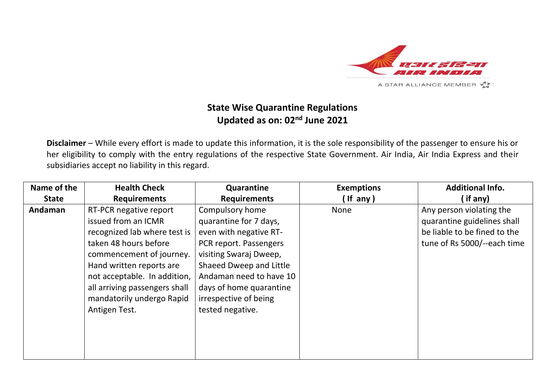

## **State Wise Quarantine Regulations Updated as on: 02nd June 2021**

**Disclaimer** – While every effort is made to update this information, it is the sole responsibility of the passenger to ensure his or her eligibility to comply with the entry regulations of the respective State Government. Air India, Air India Express and their subsidiaries accept no liability in this regard.

| Name of the  | <b>Health Check</b>           | Quarantine              | <b>Exemptions</b> | <b>Additional Info.</b>      |
|--------------|-------------------------------|-------------------------|-------------------|------------------------------|
| <b>State</b> | <b>Requirements</b>           | <b>Requirements</b>     | (If any)          | (if any)                     |
| Andaman      | RT-PCR negative report        | Compulsory home         | <b>None</b>       | Any person violating the     |
|              | issued from an ICMR           | quarantine for 7 days,  |                   | quarantine guidelines shall  |
|              | recognized lab where test is  | even with negative RT-  |                   | be liable to be fined to the |
|              | taken 48 hours before         | PCR report. Passengers  |                   | tune of Rs 5000/--each time  |
|              | commencement of journey.      | visiting Swaraj Dweep,  |                   |                              |
|              | Hand written reports are      | Shaeed Dweep and Little |                   |                              |
|              | not acceptable. In addition,  | Andaman need to have 10 |                   |                              |
|              | all arriving passengers shall | days of home quarantine |                   |                              |
|              | mandatorily undergo Rapid     | irrespective of being   |                   |                              |
|              | Antigen Test.                 | tested negative.        |                   |                              |
|              |                               |                         |                   |                              |
|              |                               |                         |                   |                              |
|              |                               |                         |                   |                              |
|              |                               |                         |                   |                              |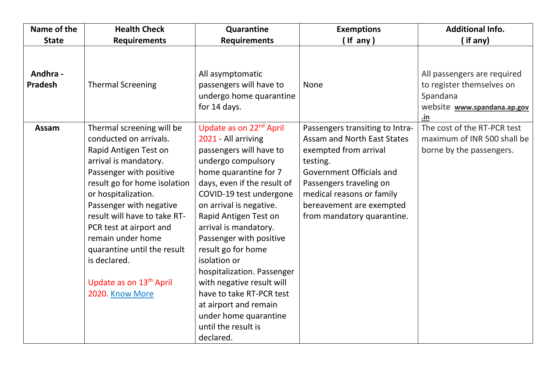| Name of the                | <b>Health Check</b>                                                                                                                                                                                                                                                                                                                                                                                         | Quarantine                                                                                                                                                                                                                                                                                                                                                                                                                                                                                                                | <b>Exemptions</b>                                                                                                                                                                                                                                        | <b>Additional Info.</b>                                                                                    |
|----------------------------|-------------------------------------------------------------------------------------------------------------------------------------------------------------------------------------------------------------------------------------------------------------------------------------------------------------------------------------------------------------------------------------------------------------|---------------------------------------------------------------------------------------------------------------------------------------------------------------------------------------------------------------------------------------------------------------------------------------------------------------------------------------------------------------------------------------------------------------------------------------------------------------------------------------------------------------------------|----------------------------------------------------------------------------------------------------------------------------------------------------------------------------------------------------------------------------------------------------------|------------------------------------------------------------------------------------------------------------|
| <b>State</b>               | <b>Requirements</b>                                                                                                                                                                                                                                                                                                                                                                                         | <b>Requirements</b>                                                                                                                                                                                                                                                                                                                                                                                                                                                                                                       | $($ If any)                                                                                                                                                                                                                                              | (if any)                                                                                                   |
| Andhra -<br><b>Pradesh</b> | <b>Thermal Screening</b>                                                                                                                                                                                                                                                                                                                                                                                    | All asymptomatic<br>passengers will have to<br>undergo home quarantine<br>for 14 days.                                                                                                                                                                                                                                                                                                                                                                                                                                    | <b>None</b>                                                                                                                                                                                                                                              | All passengers are required<br>to register themselves on<br>Spandana<br>website www.spandana.ap.gov<br>.in |
| Assam                      | Thermal screening will be<br>conducted on arrivals.<br>Rapid Antigen Test on<br>arrival is mandatory.<br>Passenger with positive<br>result go for home isolation<br>or hospitalization.<br>Passenger with negative<br>result will have to take RT-<br>PCR test at airport and<br>remain under home<br>quarantine until the result<br>is declared.<br>Update as on 13 <sup>th</sup> April<br>2020. Know More | Update as on 22 <sup>nd</sup> April<br>2021 - All arriving<br>passengers will have to<br>undergo compulsory<br>home quarantine for 7<br>days, even if the result of<br>COVID-19 test undergone<br>on arrival is negative.<br>Rapid Antigen Test on<br>arrival is mandatory.<br>Passenger with positive<br>result go for home<br>isolation or<br>hospitalization. Passenger<br>with negative result will<br>have to take RT-PCR test<br>at airport and remain<br>under home quarantine<br>until the result is<br>declared. | Passengers transiting to Intra-<br><b>Assam and North East States</b><br>exempted from arrival<br>testing.<br>Government Officials and<br>Passengers traveling on<br>medical reasons or family<br>bereavement are exempted<br>from mandatory quarantine. | The cost of the RT-PCR test<br>maximum of INR 500 shall be<br>borne by the passengers.                     |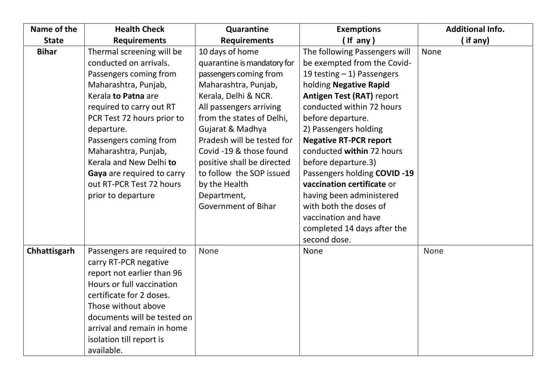| Name of the  | <b>Health Check</b>         | Quarantine                  | <b>Exemptions</b>                | <b>Additional Info.</b> |
|--------------|-----------------------------|-----------------------------|----------------------------------|-------------------------|
| <b>State</b> | <b>Requirements</b>         | <b>Requirements</b>         | $($ If any)                      | (if any)                |
| <b>Bihar</b> | Thermal screening will be   | 10 days of home             | The following Passengers will    | <b>None</b>             |
|              | conducted on arrivals.      | quarantine is mandatory for | be exempted from the Covid-      |                         |
|              | Passengers coming from      | passengers coming from      | 19 testing $-1$ ) Passengers     |                         |
|              | Maharashtra, Punjab,        | Maharashtra, Punjab,        | holding Negative Rapid           |                         |
|              | Kerala to Patna are         | Kerala, Delhi & NCR.        | <b>Antigen Test (RAT) report</b> |                         |
|              | required to carry out RT    | All passengers arriving     | conducted within 72 hours        |                         |
|              | PCR Test 72 hours prior to  | from the states of Delhi,   | before departure.                |                         |
|              | departure.                  | Gujarat & Madhya            | 2) Passengers holding            |                         |
|              | Passengers coming from      | Pradesh will be tested for  | <b>Negative RT-PCR report</b>    |                         |
|              | Maharashtra, Punjab,        | Covid -19 & those found     | conducted within 72 hours        |                         |
|              | Kerala and New Delhi to     | positive shall be directed  | before departure.3)              |                         |
|              | Gaya are required to carry  | to follow the SOP issued    | Passengers holding COVID -19     |                         |
|              | out RT-PCR Test 72 hours    | by the Health               | vaccination certificate or       |                         |
|              | prior to departure          | Department,                 | having been administered         |                         |
|              |                             | <b>Government of Bihar</b>  | with both the doses of           |                         |
|              |                             |                             | vaccination and have             |                         |
|              |                             |                             | completed 14 days after the      |                         |
|              |                             |                             | second dose.                     |                         |
| Chhattisgarh | Passengers are required to  | None                        | None                             | None                    |
|              | carry RT-PCR negative       |                             |                                  |                         |
|              | report not earlier than 96  |                             |                                  |                         |
|              | Hours or full vaccination   |                             |                                  |                         |
|              | certificate for 2 doses.    |                             |                                  |                         |
|              | Those without above         |                             |                                  |                         |
|              | documents will be tested on |                             |                                  |                         |
|              | arrival and remain in home  |                             |                                  |                         |
|              | isolation till report is    |                             |                                  |                         |
|              | available.                  |                             |                                  |                         |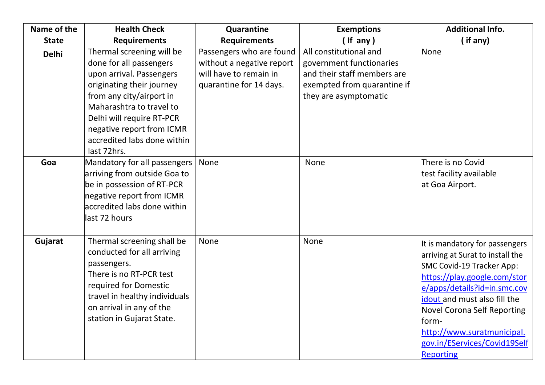| Name of the  | <b>Health Check</b>                                                                                                                                                                                                                                                           | Quarantine                                                                                                 | <b>Exemptions</b>                                                                                                                         | <b>Additional Info.</b>                                                                                                                                                                                                                                                                                                          |
|--------------|-------------------------------------------------------------------------------------------------------------------------------------------------------------------------------------------------------------------------------------------------------------------------------|------------------------------------------------------------------------------------------------------------|-------------------------------------------------------------------------------------------------------------------------------------------|----------------------------------------------------------------------------------------------------------------------------------------------------------------------------------------------------------------------------------------------------------------------------------------------------------------------------------|
| <b>State</b> | <b>Requirements</b>                                                                                                                                                                                                                                                           | <b>Requirements</b>                                                                                        | ( If any )                                                                                                                                | $\int$ if any)                                                                                                                                                                                                                                                                                                                   |
| <b>Delhi</b> | Thermal screening will be<br>done for all passengers<br>upon arrival. Passengers<br>originating their journey<br>from any city/airport in<br>Maharashtra to travel to<br>Delhi will require RT-PCR<br>negative report from ICMR<br>accredited labs done within<br>last 72hrs. | Passengers who are found<br>without a negative report<br>will have to remain in<br>quarantine for 14 days. | All constitutional and<br>government functionaries<br>and their staff members are<br>exempted from quarantine if<br>they are asymptomatic | None                                                                                                                                                                                                                                                                                                                             |
| Goa          | Mandatory for all passengers<br>arriving from outside Goa to<br>be in possession of RT-PCR<br>negative report from ICMR<br>accredited labs done within<br>last 72 hours                                                                                                       | None                                                                                                       | None                                                                                                                                      | There is no Covid<br>test facility available<br>at Goa Airport.                                                                                                                                                                                                                                                                  |
| Gujarat      | Thermal screening shall be<br>conducted for all arriving<br>passengers.<br>There is no RT-PCR test<br>required for Domestic<br>travel in healthy individuals<br>on arrival in any of the<br>station in Gujarat State.                                                         | None                                                                                                       | None                                                                                                                                      | It is mandatory for passengers<br>arriving at Surat to install the<br>SMC Covid-19 Tracker App:<br>https://play.google.com/stor<br>e/apps/details?id=in.smc.cov<br>idout and must also fill the<br><b>Novel Corona Self Reporting</b><br>form-<br>http://www.suratmunicipal.<br>gov.in/EServices/Covid19Self<br><b>Reporting</b> |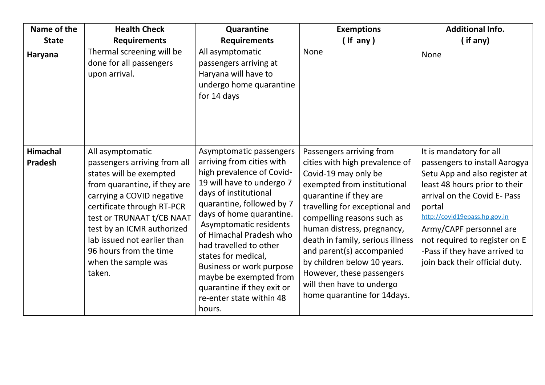| Name of the                       | <b>Health Check</b>                                                                                                                                                                                                                                                                                                         | Quarantine                                                                                                                                                                                                                                                                                                                                                                                                                              | <b>Exemptions</b>                                                                                                                                                                                                                                                                                                                                                                                                                  | <b>Additional Info.</b>                                                                                                                                                                                                                                                                                                              |
|-----------------------------------|-----------------------------------------------------------------------------------------------------------------------------------------------------------------------------------------------------------------------------------------------------------------------------------------------------------------------------|-----------------------------------------------------------------------------------------------------------------------------------------------------------------------------------------------------------------------------------------------------------------------------------------------------------------------------------------------------------------------------------------------------------------------------------------|------------------------------------------------------------------------------------------------------------------------------------------------------------------------------------------------------------------------------------------------------------------------------------------------------------------------------------------------------------------------------------------------------------------------------------|--------------------------------------------------------------------------------------------------------------------------------------------------------------------------------------------------------------------------------------------------------------------------------------------------------------------------------------|
| <b>State</b>                      | <b>Requirements</b>                                                                                                                                                                                                                                                                                                         | <b>Requirements</b>                                                                                                                                                                                                                                                                                                                                                                                                                     | (If any)                                                                                                                                                                                                                                                                                                                                                                                                                           | (if any)                                                                                                                                                                                                                                                                                                                             |
| Haryana                           | Thermal screening will be<br>done for all passengers<br>upon arrival.                                                                                                                                                                                                                                                       | All asymptomatic<br>passengers arriving at<br>Haryana will have to<br>undergo home quarantine<br>for 14 days                                                                                                                                                                                                                                                                                                                            | None                                                                                                                                                                                                                                                                                                                                                                                                                               | None                                                                                                                                                                                                                                                                                                                                 |
| <b>Himachal</b><br><b>Pradesh</b> | All asymptomatic<br>passengers arriving from all<br>states will be exempted<br>from quarantine, if they are<br>carrying a COVID negative<br>certificate through RT-PCR<br>test or TRUNAAT t/CB NAAT<br>test by an ICMR authorized<br>lab issued not earlier than<br>96 hours from the time<br>when the sample was<br>taken. | Asymptomatic passengers<br>arriving from cities with<br>high prevalence of Covid-<br>19 will have to undergo 7<br>days of institutional<br>quarantine, followed by 7<br>days of home quarantine.<br>Asymptomatic residents<br>of Himachal Pradesh who<br>had travelled to other<br>states for medical,<br><b>Business or work purpose</b><br>maybe be exempted from<br>quarantine if they exit or<br>re-enter state within 48<br>hours. | Passengers arriving from<br>cities with high prevalence of<br>Covid-19 may only be<br>exempted from institutional<br>quarantine if they are<br>travelling for exceptional and<br>compelling reasons such as<br>human distress, pregnancy,<br>death in family, serious illness<br>and parent(s) accompanied<br>by children below 10 years.<br>However, these passengers<br>will then have to undergo<br>home quarantine for 14days. | It is mandatory for all<br>passengers to install Aarogya<br>Setu App and also register at<br>least 48 hours prior to their<br>arrival on the Covid E- Pass<br>portal<br>http://covid19epass.hp.gov.in<br>Army/CAPF personnel are<br>not required to register on E<br>-Pass if they have arrived to<br>join back their official duty. |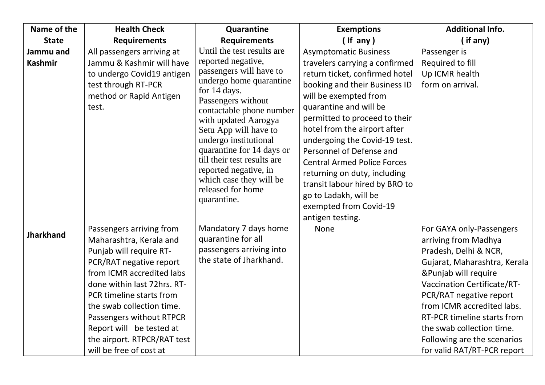| Name of the                 | <b>Health Check</b>                                                                                                                                                                                                                                                                                                                              | Quarantine                                                                                                                                                                                                                                                                                                                                                                                             | <b>Exemptions</b>                                                                                                                                                                                                                                                                                                                                                                                                                                                                                 | <b>Additional Info.</b>                                                                                                                                                                                                                                                                                                                                    |
|-----------------------------|--------------------------------------------------------------------------------------------------------------------------------------------------------------------------------------------------------------------------------------------------------------------------------------------------------------------------------------------------|--------------------------------------------------------------------------------------------------------------------------------------------------------------------------------------------------------------------------------------------------------------------------------------------------------------------------------------------------------------------------------------------------------|---------------------------------------------------------------------------------------------------------------------------------------------------------------------------------------------------------------------------------------------------------------------------------------------------------------------------------------------------------------------------------------------------------------------------------------------------------------------------------------------------|------------------------------------------------------------------------------------------------------------------------------------------------------------------------------------------------------------------------------------------------------------------------------------------------------------------------------------------------------------|
| <b>State</b>                | <b>Requirements</b>                                                                                                                                                                                                                                                                                                                              | <b>Requirements</b>                                                                                                                                                                                                                                                                                                                                                                                    | (If any)                                                                                                                                                                                                                                                                                                                                                                                                                                                                                          | (if any)                                                                                                                                                                                                                                                                                                                                                   |
| Jammu and<br><b>Kashmir</b> | All passengers arriving at<br>Jammu & Kashmir will have<br>to undergo Covid19 antigen<br>test through RT-PCR<br>method or Rapid Antigen<br>test.                                                                                                                                                                                                 | Until the test results are<br>reported negative,<br>passengers will have to<br>undergo home quarantine<br>for 14 days.<br>Passengers without<br>contactable phone number<br>with updated Aarogya<br>Setu App will have to<br>undergo institutional<br>quarantine for 14 days or<br>till their test results are<br>reported negative, in<br>which case they will be<br>released for home<br>quarantine. | <b>Asymptomatic Business</b><br>travelers carrying a confirmed<br>return ticket, confirmed hotel<br>booking and their Business ID<br>will be exempted from<br>quarantine and will be<br>permitted to proceed to their<br>hotel from the airport after<br>undergoing the Covid-19 test.<br>Personnel of Defense and<br><b>Central Armed Police Forces</b><br>returning on duty, including<br>transit labour hired by BRO to<br>go to Ladakh, will be<br>exempted from Covid-19<br>antigen testing. | Passenger is<br>Required to fill<br>Up ICMR health<br>form on arrival.                                                                                                                                                                                                                                                                                     |
| <b>Jharkhand</b>            | Passengers arriving from<br>Maharashtra, Kerala and<br>Punjab will require RT-<br>PCR/RAT negative report<br>from ICMR accredited labs<br>done within last 72hrs. RT-<br>PCR timeline starts from<br>the swab collection time.<br>Passengers without RTPCR<br>Report will be tested at<br>the airport. RTPCR/RAT test<br>will be free of cost at | Mandatory 7 days home<br>quarantine for all<br>passengers arriving into<br>the state of Jharkhand.                                                                                                                                                                                                                                                                                                     | <b>None</b>                                                                                                                                                                                                                                                                                                                                                                                                                                                                                       | For GAYA only-Passengers<br>arriving from Madhya<br>Pradesh, Delhi & NCR,<br>Gujarat, Maharashtra, Kerala<br>&Punjab will require<br><b>Vaccination Certificate/RT-</b><br>PCR/RAT negative report<br>from ICMR accredited labs.<br>RT-PCR timeline starts from<br>the swab collection time.<br>Following are the scenarios<br>for valid RAT/RT-PCR report |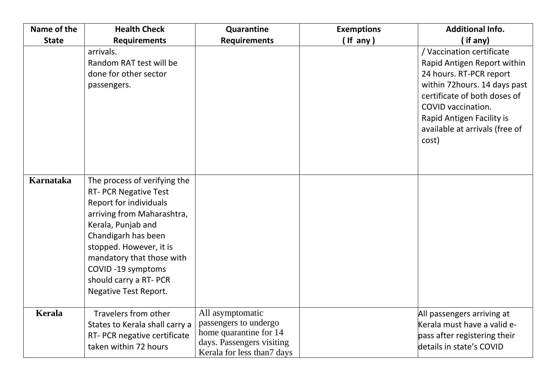| Name of the      | <b>Health Check</b>                                                                                                                                                                                                                                                                                      | Quarantine                                                                                                                     | <b>Exemptions</b> | <b>Additional Info.</b>                                                                                                                                                                                                                           |
|------------------|----------------------------------------------------------------------------------------------------------------------------------------------------------------------------------------------------------------------------------------------------------------------------------------------------------|--------------------------------------------------------------------------------------------------------------------------------|-------------------|---------------------------------------------------------------------------------------------------------------------------------------------------------------------------------------------------------------------------------------------------|
| <b>State</b>     | <b>Requirements</b>                                                                                                                                                                                                                                                                                      | <b>Requirements</b>                                                                                                            | $($ If any $)$    | (if any)                                                                                                                                                                                                                                          |
|                  | arrivals.<br>Random RAT test will be<br>done for other sector<br>passengers.                                                                                                                                                                                                                             |                                                                                                                                |                   | / Vaccination certificate<br>Rapid Antigen Report within<br>24 hours. RT-PCR report<br>within 72hours. 14 days past<br>certificate of both doses of<br>COVID vaccination.<br>Rapid Antigen Facility is<br>available at arrivals (free of<br>cost) |
| <b>Karnataka</b> | The process of verifying the<br><b>RT- PCR Negative Test</b><br>Report for individuals<br>arriving from Maharashtra,<br>Kerala, Punjab and<br>Chandigarh has been<br>stopped. However, it is<br>mandatory that those with<br>COVID-19 symptoms<br>should carry a RT- PCR<br><b>Negative Test Report.</b> |                                                                                                                                |                   |                                                                                                                                                                                                                                                   |
| Kerala           | Travelers from other<br>States to Kerala shall carry a<br>RT- PCR negative certificate<br>taken within 72 hours                                                                                                                                                                                          | All asymptomatic<br>passengers to undergo<br>home quarantine for 14<br>days. Passengers visiting<br>Kerala for less than? days |                   | All passengers arriving at<br>Kerala must have a valid e-<br>pass after registering their<br>details in state's COVID                                                                                                                             |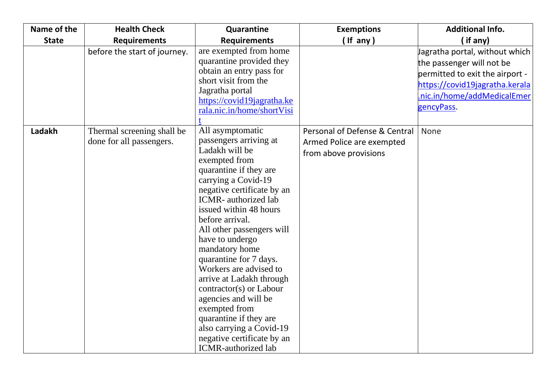| Name of the  | <b>Health Check</b>                                    | Quarantine                                                                                                                                                                                                                                                                                                                                                                                                                                                                                                                                                                        | <b>Exemptions</b>                                                                   | <b>Additional Info.</b>                                                                                                                                                      |
|--------------|--------------------------------------------------------|-----------------------------------------------------------------------------------------------------------------------------------------------------------------------------------------------------------------------------------------------------------------------------------------------------------------------------------------------------------------------------------------------------------------------------------------------------------------------------------------------------------------------------------------------------------------------------------|-------------------------------------------------------------------------------------|------------------------------------------------------------------------------------------------------------------------------------------------------------------------------|
| <b>State</b> | <b>Requirements</b>                                    | <b>Requirements</b>                                                                                                                                                                                                                                                                                                                                                                                                                                                                                                                                                               | (If any)                                                                            | (if any)                                                                                                                                                                     |
|              | before the start of journey.                           | are exempted from home<br>quarantine provided they<br>obtain an entry pass for<br>short visit from the<br>Jagratha portal<br>https://covid19jagratha.ke<br>rala.nic.in/home/shortVisi                                                                                                                                                                                                                                                                                                                                                                                             |                                                                                     | Jagratha portal, without which<br>the passenger will not be<br>permitted to exit the airport -<br>https://covid19jagratha.kerala<br>nic.in/home/addMedicalEmer<br>gencyPass. |
| Ladakh       | Thermal screening shall be<br>done for all passengers. | All asymptomatic<br>passengers arriving at<br>Ladakh will be<br>exempted from<br>quarantine if they are<br>carrying a Covid-19<br>negative certificate by an<br><b>ICMR</b> - authorized lab<br>issued within 48 hours<br>before arrival.<br>All other passengers will<br>have to undergo<br>mandatory home<br>quarantine for 7 days.<br>Workers are advised to<br>arrive at Ladakh through<br>contractor(s) or Labour<br>agencies and will be<br>exempted from<br>quarantine if they are<br>also carrying a Covid-19<br>negative certificate by an<br><b>ICMR-authorized lab</b> | Personal of Defense & Central<br>Armed Police are exempted<br>from above provisions | None                                                                                                                                                                         |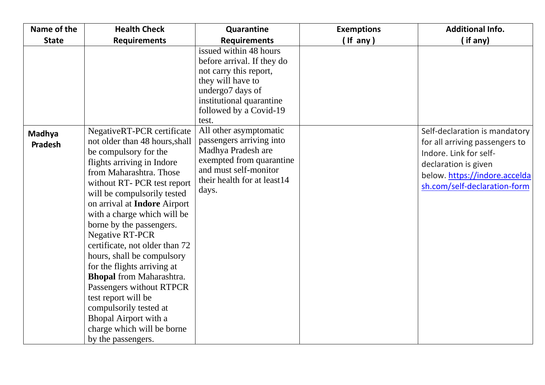| Name of the       | <b>Health Check</b>                                                                                                                                                                                                                                                                                                                                                                                                                                                                                                                                                                                                           | Quarantine                                                                                                                                                                             | <b>Exemptions</b> | <b>Additional Info.</b>                                                                                                                                                            |
|-------------------|-------------------------------------------------------------------------------------------------------------------------------------------------------------------------------------------------------------------------------------------------------------------------------------------------------------------------------------------------------------------------------------------------------------------------------------------------------------------------------------------------------------------------------------------------------------------------------------------------------------------------------|----------------------------------------------------------------------------------------------------------------------------------------------------------------------------------------|-------------------|------------------------------------------------------------------------------------------------------------------------------------------------------------------------------------|
| <b>State</b>      | <b>Requirements</b>                                                                                                                                                                                                                                                                                                                                                                                                                                                                                                                                                                                                           | <b>Requirements</b>                                                                                                                                                                    | $($ If any $)$    | (if any)                                                                                                                                                                           |
|                   |                                                                                                                                                                                                                                                                                                                                                                                                                                                                                                                                                                                                                               | issued within 48 hours<br>before arrival. If they do<br>not carry this report,<br>they will have to<br>undergo7 days of<br>institutional quarantine<br>followed by a Covid-19<br>test. |                   |                                                                                                                                                                                    |
| Madhya<br>Pradesh | NegativeRT-PCR certificate<br>not older than 48 hours, shall<br>be compulsory for the<br>flights arriving in Indore<br>from Maharashtra. Those<br>without RT- PCR test report<br>will be compulsorily tested<br>on arrival at Indore Airport<br>with a charge which will be<br>borne by the passengers.<br><b>Negative RT-PCR</b><br>certificate, not older than 72<br>hours, shall be compulsory<br>for the flights arriving at<br><b>Bhopal</b> from Maharashtra.<br>Passengers without RTPCR<br>test report will be<br>compulsorily tested at<br>Bhopal Airport with a<br>charge which will be borne<br>by the passengers. | All other asymptomatic<br>passengers arriving into<br>Madhya Pradesh are<br>exempted from quarantine<br>and must self-monitor<br>their health for at least14<br>days.                  |                   | Self-declaration is mandatory<br>for all arriving passengers to<br>Indore. Link for self-<br>declaration is given<br>below. https://indore.accelda<br>sh.com/self-declaration-form |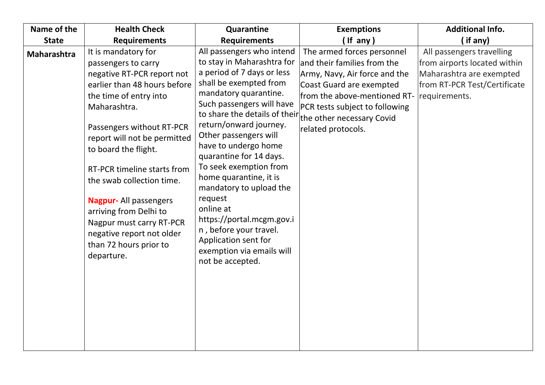| Name of the  | <b>Health Check</b>                                                                                                                                                                                                                                                                                                                                                                                                                                            | Quarantine                                                                                                                                                                                                                                                                                                                                                                                                                                                                                                                                                                    | <b>Exemptions</b>                                                                                                                                                                                              | <b>Additional Info.</b>                                                                                                                |
|--------------|----------------------------------------------------------------------------------------------------------------------------------------------------------------------------------------------------------------------------------------------------------------------------------------------------------------------------------------------------------------------------------------------------------------------------------------------------------------|-------------------------------------------------------------------------------------------------------------------------------------------------------------------------------------------------------------------------------------------------------------------------------------------------------------------------------------------------------------------------------------------------------------------------------------------------------------------------------------------------------------------------------------------------------------------------------|----------------------------------------------------------------------------------------------------------------------------------------------------------------------------------------------------------------|----------------------------------------------------------------------------------------------------------------------------------------|
| <b>State</b> | <b>Requirements</b>                                                                                                                                                                                                                                                                                                                                                                                                                                            | <b>Requirements</b>                                                                                                                                                                                                                                                                                                                                                                                                                                                                                                                                                           | $($ If any $)$                                                                                                                                                                                                 | (if any)                                                                                                                               |
| Maharashtra  | It is mandatory for<br>passengers to carry<br>negative RT-PCR report not<br>earlier than 48 hours before<br>the time of entry into<br>Maharashtra.<br>Passengers without RT-PCR<br>report will not be permitted<br>to board the flight.<br>RT-PCR timeline starts from<br>the swab collection time.<br><b>Nagpur-All passengers</b><br>arriving from Delhi to<br>Nagpur must carry RT-PCR<br>negative report not older<br>than 72 hours prior to<br>departure. | All passengers who intend<br>to stay in Maharashtra for<br>a period of 7 days or less<br>shall be exempted from<br>mandatory quarantine.<br>Such passengers will have<br>to share the details of their the other necessary Covid<br>return/onward journey.<br>Other passengers will<br>have to undergo home<br>quarantine for 14 days.<br>To seek exemption from<br>home quarantine, it is<br>mandatory to upload the<br>request<br>online at<br>https://portal.mcgm.gov.i<br>n, before your travel.<br>Application sent for<br>exemption via emails will<br>not be accepted. | The armed forces personnel<br>and their families from the<br>Army, Navy, Air force and the<br>Coast Guard are exempted<br>from the above-mentioned RT-<br>PCR tests subject to following<br>related protocols. | All passengers travelling<br>from airports located within<br>Maharashtra are exempted<br>from RT-PCR Test/Certificate<br>requirements. |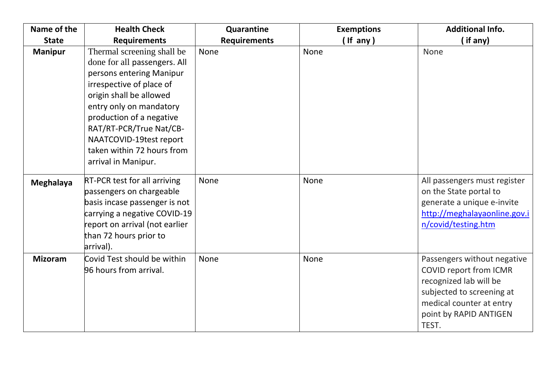| Name of the      | <b>Health Check</b>                                                                                                                                                                                                                                                                                             | Quarantine          | <b>Exemptions</b> | <b>Additional Info.</b>                                                                                                                                                            |
|------------------|-----------------------------------------------------------------------------------------------------------------------------------------------------------------------------------------------------------------------------------------------------------------------------------------------------------------|---------------------|-------------------|------------------------------------------------------------------------------------------------------------------------------------------------------------------------------------|
| <b>State</b>     | <b>Requirements</b>                                                                                                                                                                                                                                                                                             | <b>Requirements</b> | $($ If any $)$    | $($ if any $)$                                                                                                                                                                     |
| <b>Manipur</b>   | Thermal screening shall be<br>done for all passengers. All<br>persons entering Manipur<br>irrespective of place of<br>origin shall be allowed<br>entry only on mandatory<br>production of a negative<br>RAT/RT-PCR/True Nat/CB-<br>NAATCOVID-19test report<br>taken within 72 hours from<br>arrival in Manipur. | None                | <b>None</b>       | None                                                                                                                                                                               |
| <b>Meghalaya</b> | <b>RT-PCR test for all arriving</b><br>passengers on chargeable<br>basis incase passenger is not<br>carrying a negative COVID-19<br>report on arrival (not earlier<br>than 72 hours prior to<br>arrival).                                                                                                       | <b>None</b>         | None              | All passengers must register<br>on the State portal to<br>generate a unique e-invite<br>http://meghalayaonline.gov.i<br>n/covid/testing.htm                                        |
| <b>Mizoram</b>   | Covid Test should be within<br>96 hours from arrival.                                                                                                                                                                                                                                                           | None                | None              | Passengers without negative<br><b>COVID report from ICMR</b><br>recognized lab will be<br>subjected to screening at<br>medical counter at entry<br>point by RAPID ANTIGEN<br>TEST. |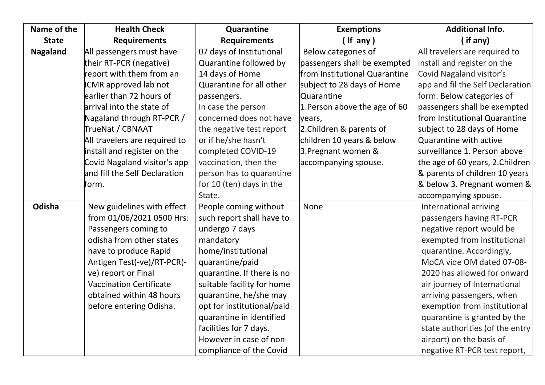| Name of the     | <b>Health Check</b>            | Quarantine                 | <b>Exemptions</b>             | <b>Additional Info.</b>          |
|-----------------|--------------------------------|----------------------------|-------------------------------|----------------------------------|
| <b>State</b>    | <b>Requirements</b>            | <b>Requirements</b>        | (If any)                      | (if any)                         |
| <b>Nagaland</b> | All passengers must have       | 07 days of Institutional   | Below categories of           | All travelers are required to    |
|                 | their RT-PCR (negative)        | Quarantine followed by     | passengers shall be exempted  | install and register on the      |
|                 | report with them from an       | 14 days of Home            | from Institutional Quarantine | Covid Nagaland visitor's         |
|                 | <b>ICMR</b> approved lab not   | Quarantine for all other   | subject to 28 days of Home    | app and fil the Self Declaration |
|                 | earlier than 72 hours of       | passengers.                | Quarantine                    | form. Below categories of        |
|                 | arrival into the state of      | In case the person         | 1. Person above the age of 60 | passengers shall be exempted     |
|                 | Nagaland through RT-PCR /      | concerned does not have    | years,                        | from Institutional Quarantine    |
|                 | TrueNat / CBNAAT               | the negative test report   | 2. Children & parents of      | subject to 28 days of Home       |
|                 | All travelers are required to  | or if he/she hasn't        | children 10 years & below     | Quarantine with active           |
|                 | install and register on the    | completed COVID-19         | 3. Pregnant women &           | surveillance 1. Person above     |
|                 | Covid Nagaland visitor's app   | vaccination, then the      | accompanying spouse.          | the age of 60 years, 2. Children |
|                 | and fill the Self Declaration  | person has to quarantine   |                               | & parents of children 10 years   |
|                 | form.                          | for 10 (ten) days in the   |                               | & below 3. Pregnant women &      |
|                 |                                | State.                     |                               | accompanying spouse.             |
| Odisha          | New guidelines with effect     | People coming without      | <b>None</b>                   | International arriving           |
|                 | from 01/06/2021 0500 Hrs:      | such report shall have to  |                               | passengers having RT-PCR         |
|                 | Passengers coming to           | undergo 7 days             |                               | negative report would be         |
|                 | odisha from other states       | mandatory                  |                               | exempted from institutional      |
|                 | have to produce Rapid          | home/institutional         |                               | quarantine. Accordingly,         |
|                 | Antigen Test(-ve)/RT-PCR(-     | quarantine/paid            |                               | MoCA vide OM dated 07-08-        |
|                 | ve) report or Final            | quarantine. If there is no |                               | 2020 has allowed for onward      |
|                 | <b>Vaccination Certificate</b> | suitable facility for home |                               | air journey of International     |
|                 | obtained within 48 hours       | quarantine, he/she may     |                               | arriving passengers, when        |
|                 | before entering Odisha.        | opt for institutional/paid |                               | exemption from institutional     |
|                 |                                | quarantine in identified   |                               | quarantine is granted by the     |
|                 |                                | facilities for 7 days.     |                               | state authorities (of the entry  |
|                 |                                | However in case of non-    |                               | airport) on the basis of         |
|                 |                                | compliance of the Covid    |                               | negative RT-PCR test report,     |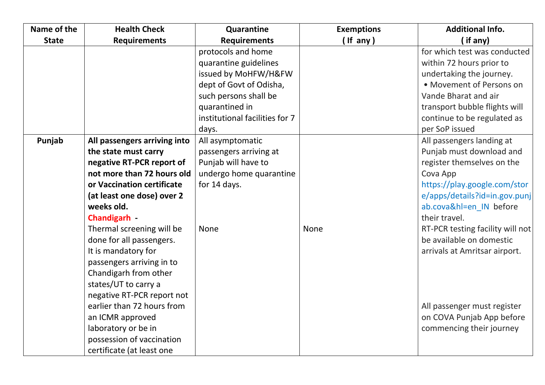| Name of the  | <b>Health Check</b>          | Quarantine                     | <b>Exemptions</b> | <b>Additional Info.</b>          |
|--------------|------------------------------|--------------------------------|-------------------|----------------------------------|
| <b>State</b> | <b>Requirements</b>          | <b>Requirements</b>            | $($ If any $)$    | (if any)                         |
|              |                              | protocols and home             |                   | for which test was conducted     |
|              |                              | quarantine guidelines          |                   | within 72 hours prior to         |
|              |                              | issued by MoHFW/H&FW           |                   | undertaking the journey.         |
|              |                              | dept of Govt of Odisha,        |                   | • Movement of Persons on         |
|              |                              | such persons shall be          |                   | Vande Bharat and air             |
|              |                              | quarantined in                 |                   | transport bubble flights will    |
|              |                              | institutional facilities for 7 |                   | continue to be regulated as      |
|              |                              | days.                          |                   | per SoP issued                   |
| Punjab       | All passengers arriving into | All asymptomatic               |                   | All passengers landing at        |
|              | the state must carry         | passengers arriving at         |                   | Punjab must download and         |
|              | negative RT-PCR report of    | Punjab will have to            |                   | register themselves on the       |
|              | not more than 72 hours old   | undergo home quarantine        |                   | Cova App                         |
|              | or Vaccination certificate   | for 14 days.                   |                   | https://play.google.com/stor     |
|              | (at least one dose) over 2   |                                |                   | e/apps/details?id=in.gov.punj    |
|              | weeks old.                   |                                |                   | ab.cova&hl=en IN before          |
|              | <b>Chandigarh</b>            |                                |                   | their travel.                    |
|              | Thermal screening will be    | None                           | None              | RT-PCR testing facility will not |
|              | done for all passengers.     |                                |                   | be available on domestic         |
|              | It is mandatory for          |                                |                   | arrivals at Amritsar airport.    |
|              | passengers arriving in to    |                                |                   |                                  |
|              | Chandigarh from other        |                                |                   |                                  |
|              | states/UT to carry a         |                                |                   |                                  |
|              | negative RT-PCR report not   |                                |                   |                                  |
|              | earlier than 72 hours from   |                                |                   | All passenger must register      |
|              | an ICMR approved             |                                |                   | on COVA Punjab App before        |
|              | laboratory or be in          |                                |                   | commencing their journey         |
|              | possession of vaccination    |                                |                   |                                  |
|              | certificate (at least one    |                                |                   |                                  |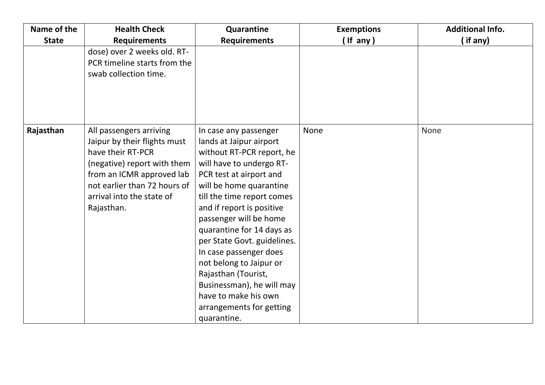| Name of the  | <b>Health Check</b>                                                                                                                                                                                                 | Quarantine                                                                                                                                                                                                                                                                                                                                                                                                                                                                                   | <b>Exemptions</b> | <b>Additional Info.</b> |
|--------------|---------------------------------------------------------------------------------------------------------------------------------------------------------------------------------------------------------------------|----------------------------------------------------------------------------------------------------------------------------------------------------------------------------------------------------------------------------------------------------------------------------------------------------------------------------------------------------------------------------------------------------------------------------------------------------------------------------------------------|-------------------|-------------------------|
| <b>State</b> | <b>Requirements</b>                                                                                                                                                                                                 | <b>Requirements</b>                                                                                                                                                                                                                                                                                                                                                                                                                                                                          | (If any)          | (if any)                |
|              | dose) over 2 weeks old. RT-<br>PCR timeline starts from the<br>swab collection time.                                                                                                                                |                                                                                                                                                                                                                                                                                                                                                                                                                                                                                              |                   |                         |
| Rajasthan    | All passengers arriving<br>Jaipur by their flights must<br>have their RT-PCR<br>(negative) report with them<br>from an ICMR approved lab<br>not earlier than 72 hours of<br>arrival into the state of<br>Rajasthan. | In case any passenger<br>lands at Jaipur airport<br>without RT-PCR report, he<br>will have to undergo RT-<br>PCR test at airport and<br>will be home quarantine<br>till the time report comes<br>and if report is positive<br>passenger will be home<br>quarantine for 14 days as<br>per State Govt. guidelines.<br>In case passenger does<br>not belong to Jaipur or<br>Rajasthan (Tourist,<br>Businessman), he will may<br>have to make his own<br>arrangements for getting<br>quarantine. | None              | None                    |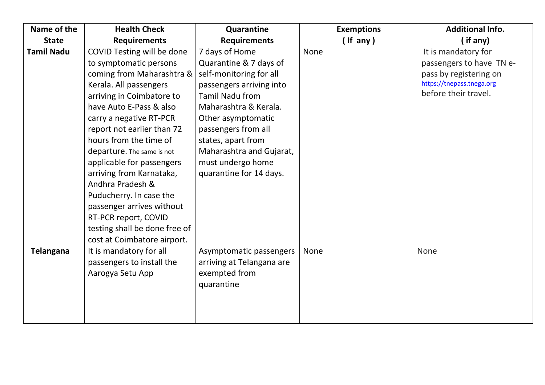| Name of the       | <b>Health Check</b>           | Quarantine                | <b>Exemptions</b> | <b>Additional Info.</b>   |
|-------------------|-------------------------------|---------------------------|-------------------|---------------------------|
| <b>State</b>      | <b>Requirements</b>           | <b>Requirements</b>       | (If any)          | if any)                   |
| <b>Tamil Nadu</b> | COVID Testing will be done    | 7 days of Home            | <b>None</b>       | It is mandatory for       |
|                   | to symptomatic persons        | Quarantine & 7 days of    |                   | passengers to have TN e-  |
|                   | coming from Maharashtra &     | self-monitoring for all   |                   | pass by registering on    |
|                   | Kerala. All passengers        | passengers arriving into  |                   | https://tnepass.tnega.org |
|                   | arriving in Coimbatore to     | <b>Tamil Nadu from</b>    |                   | before their travel.      |
|                   | have Auto E-Pass & also       | Maharashtra & Kerala.     |                   |                           |
|                   | carry a negative RT-PCR       | Other asymptomatic        |                   |                           |
|                   | report not earlier than 72    | passengers from all       |                   |                           |
|                   | hours from the time of        | states, apart from        |                   |                           |
|                   | departure. The same is not    | Maharashtra and Gujarat,  |                   |                           |
|                   | applicable for passengers     | must undergo home         |                   |                           |
|                   | arriving from Karnataka,      | quarantine for 14 days.   |                   |                           |
|                   | Andhra Pradesh &              |                           |                   |                           |
|                   | Puducherry. In case the       |                           |                   |                           |
|                   | passenger arrives without     |                           |                   |                           |
|                   | RT-PCR report, COVID          |                           |                   |                           |
|                   | testing shall be done free of |                           |                   |                           |
|                   | cost at Coimbatore airport.   |                           |                   |                           |
| <b>Telangana</b>  | It is mandatory for all       | Asymptomatic passengers   | None              | None                      |
|                   | passengers to install the     | arriving at Telangana are |                   |                           |
|                   | Aarogya Setu App              | exempted from             |                   |                           |
|                   |                               | quarantine                |                   |                           |
|                   |                               |                           |                   |                           |
|                   |                               |                           |                   |                           |
|                   |                               |                           |                   |                           |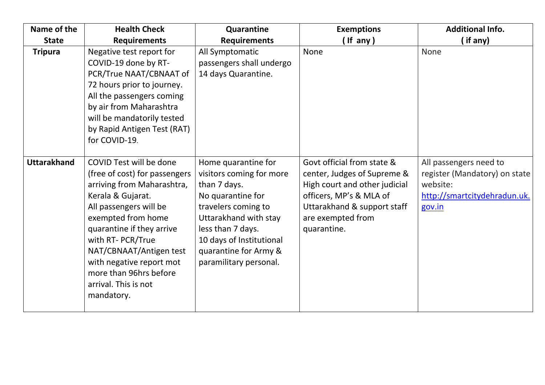| Name of the        | <b>Health Check</b>                                                                                                                                                                                                                                                                                                                  | Quarantine                                                                                                                                                                                                                               | <b>Exemptions</b>                                                                                                                                                                        | <b>Additional Info.</b>                                                                                       |
|--------------------|--------------------------------------------------------------------------------------------------------------------------------------------------------------------------------------------------------------------------------------------------------------------------------------------------------------------------------------|------------------------------------------------------------------------------------------------------------------------------------------------------------------------------------------------------------------------------------------|------------------------------------------------------------------------------------------------------------------------------------------------------------------------------------------|---------------------------------------------------------------------------------------------------------------|
| <b>State</b>       | <b>Requirements</b>                                                                                                                                                                                                                                                                                                                  | <b>Requirements</b>                                                                                                                                                                                                                      | (If any)                                                                                                                                                                                 | (if any)                                                                                                      |
| <b>Tripura</b>     | Negative test report for<br>COVID-19 done by RT-<br>PCR/True NAAT/CBNAAT of<br>72 hours prior to journey.<br>All the passengers coming<br>by air from Maharashtra<br>will be mandatorily tested<br>by Rapid Antigen Test (RAT)<br>for COVID-19.                                                                                      | All Symptomatic<br>passengers shall undergo<br>14 days Quarantine.                                                                                                                                                                       | None                                                                                                                                                                                     | <b>None</b>                                                                                                   |
| <b>Uttarakhand</b> | COVID Test will be done<br>(free of cost) for passengers<br>arriving from Maharashtra,<br>Kerala & Gujarat.<br>All passengers will be<br>exempted from home<br>quarantine if they arrive<br>with RT- PCR/True<br>NAT/CBNAAT/Antigen test<br>with negative report mot<br>more than 96hrs before<br>arrival. This is not<br>mandatory. | Home quarantine for<br>visitors coming for more<br>than 7 days.<br>No quarantine for<br>travelers coming to<br>Uttarakhand with stay<br>less than 7 days.<br>10 days of Institutional<br>quarantine for Army &<br>paramilitary personal. | Govt official from state &<br>center, Judges of Supreme &<br>High court and other judicial<br>officers, MP's & MLA of<br>Uttarakhand & support staff<br>are exempted from<br>quarantine. | All passengers need to<br>register (Mandatory) on state<br>website:<br>http://smartcitydehradun.uk.<br>gov.in |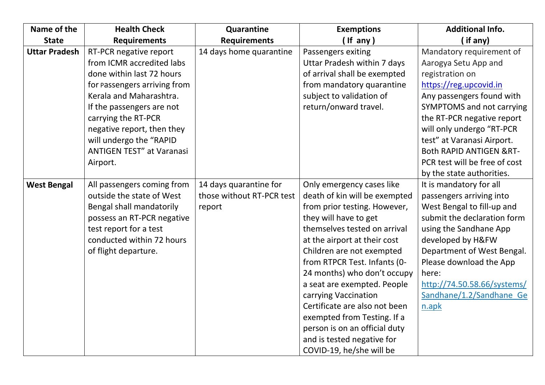| Name of the          | <b>Health Check</b>              | Quarantine                | <b>Exemptions</b>             | <b>Additional Info.</b>            |
|----------------------|----------------------------------|---------------------------|-------------------------------|------------------------------------|
| <b>State</b>         | <b>Requirements</b>              | <b>Requirements</b>       | $($ If any $)$                | (if any)                           |
| <b>Uttar Pradesh</b> | RT-PCR negative report           | 14 days home quarantine   | Passengers exiting            | Mandatory requirement of           |
|                      | from ICMR accredited labs        |                           | Uttar Pradesh within 7 days   | Aarogya Setu App and               |
|                      | done within last 72 hours        |                           | of arrival shall be exempted  | registration on                    |
|                      | for passengers arriving from     |                           | from mandatory quarantine     | https://reg.upcovid.in             |
|                      | Kerala and Maharashtra.          |                           | subject to validation of      | Any passengers found with          |
|                      | If the passengers are not        |                           | return/onward travel.         | <b>SYMPTOMS</b> and not carrying   |
|                      | carrying the RT-PCR              |                           |                               | the RT-PCR negative report         |
|                      | negative report, then they       |                           |                               | will only undergo "RT-PCR          |
|                      | will undergo the "RAPID          |                           |                               | test" at Varanasi Airport.         |
|                      | <b>ANTIGEN TEST" at Varanasi</b> |                           |                               | <b>Both RAPID ANTIGEN &amp;RT-</b> |
|                      | Airport.                         |                           |                               | PCR test will be free of cost      |
|                      |                                  |                           |                               | by the state authorities.          |
| <b>West Bengal</b>   | All passengers coming from       | 14 days quarantine for    | Only emergency cases like     | It is mandatory for all            |
|                      | outside the state of West        | those without RT-PCR test | death of kin will be exempted | passengers arriving into           |
|                      | Bengal shall mandatorily         | report                    | from prior testing. However,  | West Bengal to fill-up and         |
|                      | possess an RT-PCR negative       |                           | they will have to get         | submit the declaration form        |
|                      | test report for a test           |                           | themselves tested on arrival  | using the Sandhane App             |
|                      | conducted within 72 hours        |                           | at the airport at their cost  | developed by H&FW                  |
|                      | of flight departure.             |                           | Children are not exempted     | Department of West Bengal.         |
|                      |                                  |                           | from RTPCR Test. Infants (0-  | Please download the App            |
|                      |                                  |                           | 24 months) who don't occupy   | here:                              |
|                      |                                  |                           | a seat are exempted. People   | http://74.50.58.66/systems/        |
|                      |                                  |                           | carrying Vaccination          | Sandhane/1.2/Sandhane Ge           |
|                      |                                  |                           | Certificate are also not been | n.apk                              |
|                      |                                  |                           | exempted from Testing. If a   |                                    |
|                      |                                  |                           | person is on an official duty |                                    |
|                      |                                  |                           | and is tested negative for    |                                    |
|                      |                                  |                           | COVID-19, he/she will be      |                                    |